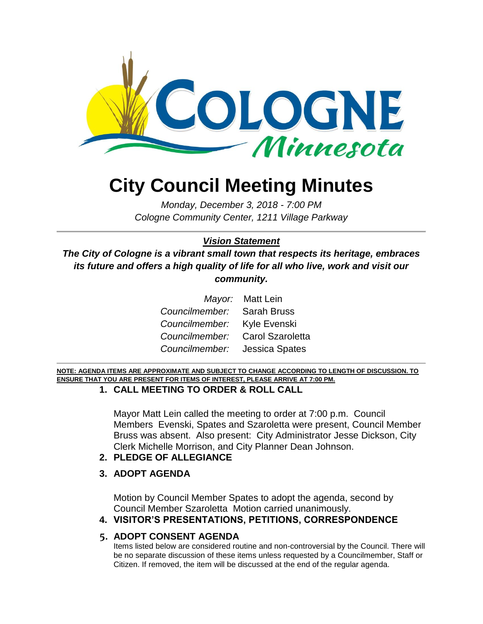

# **City Council Meeting Minutes**

*Monday, December 3, 2018 - 7:00 PM Cologne Community Center, 1211 Village Parkway*

#### *Vision Statement*

*The City of Cologne is a vibrant small town that respects its heritage, embraces its future and offers a high quality of life for all who live, work and visit our community.*

|                                 | Mayor: Matt Lein |
|---------------------------------|------------------|
| Councilmember: Sarah Bruss      |                  |
| Councilmember: Kyle Evenski     |                  |
| Councilmember: Carol Szaroletta |                  |
| Councilmember: Jessica Spates   |                  |

**NOTE: AGENDA ITEMS ARE APPROXIMATE AND SUBJECT TO CHANGE ACCORDING TO LENGTH OF DISCUSSION. TO ENSURE THAT YOU ARE PRESENT FOR ITEMS OF INTEREST, PLEASE ARRIVE AT 7:00 PM.**

#### **1. CALL MEETING TO ORDER & ROLL CALL**

Mayor Matt Lein called the meeting to order at 7:00 p.m. Council Members Evenski, Spates and Szaroletta were present, Council Member Bruss was absent. Also present: City Administrator Jesse Dickson, City Clerk Michelle Morrison, and City Planner Dean Johnson.

- **2. PLEDGE OF ALLEGIANCE**
- **3. ADOPT AGENDA**

Motion by Council Member Spates to adopt the agenda, second by Council Member Szaroletta Motion carried unanimously.

#### **4. VISITOR'S PRESENTATIONS, PETITIONS, CORRESPONDENCE**

#### **5. ADOPT CONSENT AGENDA**

Items listed below are considered routine and non-controversial by the Council. There will be no separate discussion of these items unless requested by a Councilmember, Staff or Citizen. If removed, the item will be discussed at the end of the regular agenda.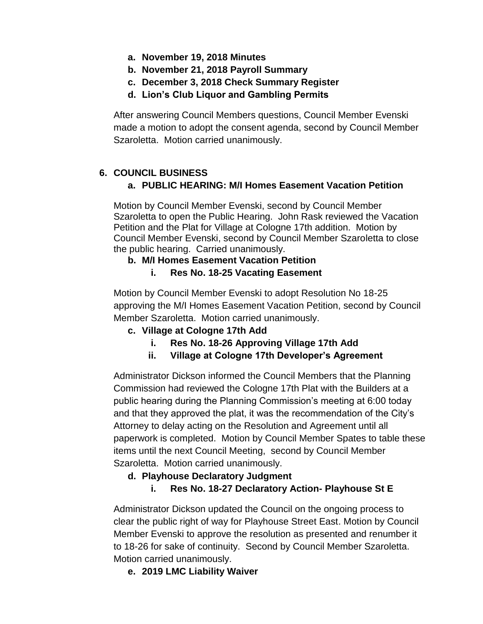- **a. November 19, 2018 Minutes**
- **b. November 21, 2018 Payroll Summary**
- **c. December 3, 2018 Check Summary Register**
- **d. Lion's Club Liquor and Gambling Permits**

After answering Council Members questions, Council Member Evenski made a motion to adopt the consent agenda, second by Council Member Szaroletta. Motion carried unanimously.

## **6. COUNCIL BUSINESS**

## **a. PUBLIC HEARING: M/I Homes Easement Vacation Petition**

Motion by Council Member Evenski, second by Council Member Szaroletta to open the Public Hearing. John Rask reviewed the Vacation Petition and the Plat for Village at Cologne 17th addition. Motion by Council Member Evenski, second by Council Member Szaroletta to close the public hearing. Carried unanimously.

### **b. M/I Homes Easement Vacation Petition**

**i. Res No. 18-25 Vacating Easement**

Motion by Council Member Evenski to adopt Resolution No 18-25 approving the M/I Homes Easement Vacation Petition, second by Council Member Szaroletta. Motion carried unanimously.

### **c. Village at Cologne 17th Add**

- **i. Res No. 18-26 Approving Village 17th Add**
- **ii. Village at Cologne 17th Developer's Agreement**

Administrator Dickson informed the Council Members that the Planning Commission had reviewed the Cologne 17th Plat with the Builders at a public hearing during the Planning Commission's meeting at 6:00 today and that they approved the plat, it was the recommendation of the City's Attorney to delay acting on the Resolution and Agreement until all paperwork is completed. Motion by Council Member Spates to table these items until the next Council Meeting, second by Council Member Szaroletta. Motion carried unanimously.

### **d. Playhouse Declaratory Judgment**

### **i. Res No. 18-27 Declaratory Action- Playhouse St E**

Administrator Dickson updated the Council on the ongoing process to clear the public right of way for Playhouse Street East. Motion by Council Member Evenski to approve the resolution as presented and renumber it to 18-26 for sake of continuity. Second by Council Member Szaroletta. Motion carried unanimously.

## **e. 2019 LMC Liability Waiver**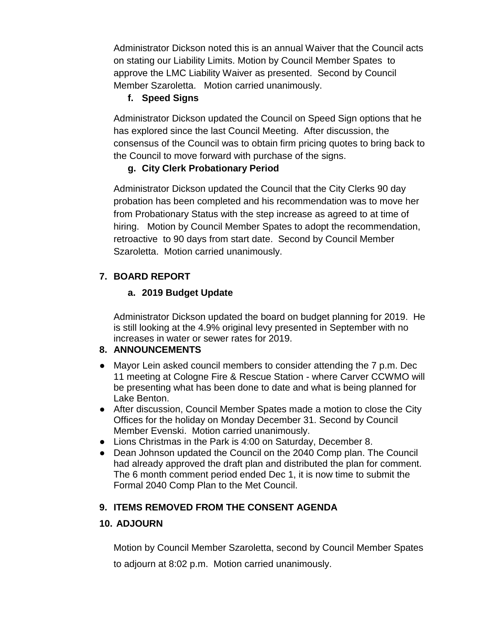Administrator Dickson noted this is an annual Waiver that the Council acts on stating our Liability Limits. Motion by Council Member Spates to approve the LMC Liability Waiver as presented. Second by Council Member Szaroletta. Motion carried unanimously.

## **f. Speed Signs**

Administrator Dickson updated the Council on Speed Sign options that he has explored since the last Council Meeting. After discussion, the consensus of the Council was to obtain firm pricing quotes to bring back to the Council to move forward with purchase of the signs.

# **g. City Clerk Probationary Period**

Administrator Dickson updated the Council that the City Clerks 90 day probation has been completed and his recommendation was to move her from Probationary Status with the step increase as agreed to at time of hiring. Motion by Council Member Spates to adopt the recommendation, retroactive to 90 days from start date. Second by Council Member Szaroletta. Motion carried unanimously.

# **7. BOARD REPORT**

# **a. 2019 Budget Update**

Administrator Dickson updated the board on budget planning for 2019. He is still looking at the 4.9% original levy presented in September with no increases in water or sewer rates for 2019.

## **8. ANNOUNCEMENTS**

- Mayor Lein asked council members to consider attending the 7 p.m. Dec 11 meeting at Cologne Fire & Rescue Station - where Carver CCWMO will be presenting what has been done to date and what is being planned for Lake Benton.
- After discussion, Council Member Spates made a motion to close the City Offices for the holiday on Monday December 31. Second by Council Member Evenski. Motion carried unanimously.
- Lions Christmas in the Park is 4:00 on Saturday, December 8.
- Dean Johnson updated the Council on the 2040 Comp plan. The Council had already approved the draft plan and distributed the plan for comment. The 6 month comment period ended Dec 1, it is now time to submit the Formal 2040 Comp Plan to the Met Council.

# **9. ITEMS REMOVED FROM THE CONSENT AGENDA**

## **10. ADJOURN**

Motion by Council Member Szaroletta, second by Council Member Spates

to adjourn at 8:02 p.m. Motion carried unanimously.